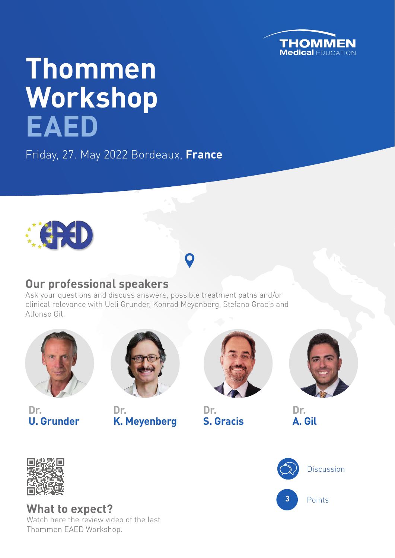

# **Thommen Workshop EAED**

Friday, 27. May 2022 Bordeaux, **France**



### **Our professional speakers**

Ask your questions and discuss answers, possible treatment paths and/or clinical relevance with Ueli Grunder, Konrad Meyenberg, Stefano Gracis and Alfonso Gil.



**Dr. U. Grunder**



**Dr. K. Meyenberg**



**Dr. S. Gracis** **Dr.**

**A. Gil**



**What to expect?**  Watch here the review video of the last Thommen EAED Workshop.